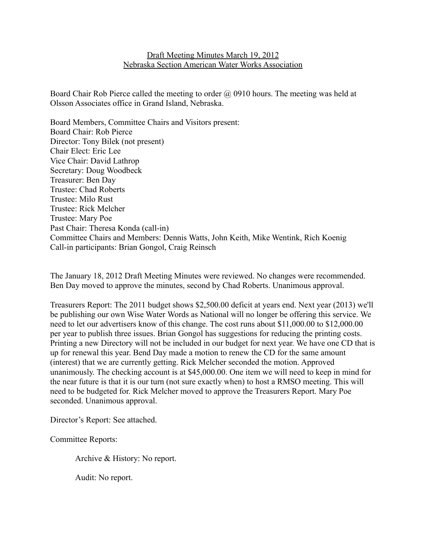## Draft Meeting Minutes March 19, 2012 Nebraska Section American Water Works Association

Board Chair Rob Pierce called the meeting to order @ 0910 hours. The meeting was held at Olsson Associates office in Grand Island, Nebraska.

Board Members, Committee Chairs and Visitors present: Board Chair: Rob Pierce Director: Tony Bilek (not present) Chair Elect: Eric Lee Vice Chair: David Lathrop Secretary: Doug Woodbeck Treasurer: Ben Day Trustee: Chad Roberts Trustee: Milo Rust Trustee: Rick Melcher Trustee: Mary Poe Past Chair: Theresa Konda (call-in) Committee Chairs and Members: Dennis Watts, John Keith, Mike Wentink, Rich Koenig Call-in participants: Brian Gongol, Craig Reinsch

The January 18, 2012 Draft Meeting Minutes were reviewed. No changes were recommended. Ben Day moved to approve the minutes, second by Chad Roberts. Unanimous approval.

Treasurers Report: The 2011 budget shows \$2,500.00 deficit at years end. Next year (2013) we'll be publishing our own Wise Water Words as National will no longer be offering this service. We need to let our advertisers know of this change. The cost runs about \$11,000.00 to \$12,000.00 per year to publish three issues. Brian Gongol has suggestions for reducing the printing costs. Printing a new Directory will not be included in our budget for next year. We have one CD that is up for renewal this year. Bend Day made a motion to renew the CD for the same amount (interest) that we are currently getting. Rick Melcher seconded the motion. Approved unanimously. The checking account is at \$45,000.00. One item we will need to keep in mind for the near future is that it is our turn (not sure exactly when) to host a RMSO meeting. This will need to be budgeted for. Rick Melcher moved to approve the Treasurers Report. Mary Poe seconded. Unanimous approval.

Director's Report: See attached.

Committee Reports:

Archive & History: No report.

Audit: No report.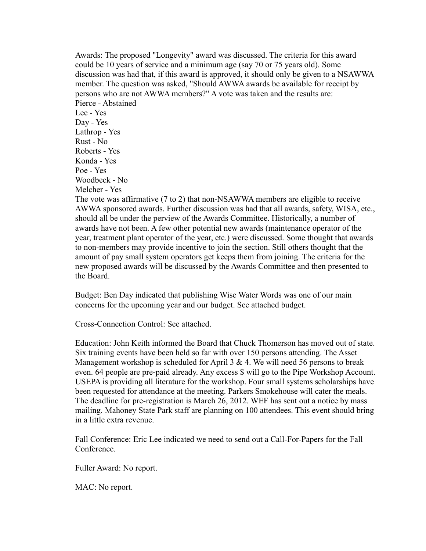Awards: The proposed "Longevity" award was discussed. The criteria for this award could be 10 years of service and a minimum age (say 70 or 75 years old). Some discussion was had that, if this award is approved, it should only be given to a NSAWWA member. The question was asked, "Should AWWA awards be available for receipt by persons who are not AWWA members?" A vote was taken and the results are: Pierce - Abstained Lee - Yes Day - Yes Lathrop - Yes Rust - No Roberts - Yes Konda - Yes Poe - Yes Woodbeck - No Melcher - Yes The vote was affirmative (7 to 2) that non-NSAWWA members are eligible to receive AWWA sponsored awards. Further discussion was had that all awards, safety, WISA, etc., should all be under the perview of the Awards Committee. Historically, a number of awards have not been. A few other potential new awards (maintenance operator of the year, treatment plant operator of the year, etc.) were discussed. Some thought that awards to non-members may provide incentive to join the section. Still others thought that the amount of pay small system operators get keeps them from joining. The criteria for the new proposed awards will be discussed by the Awards Committee and then presented to

the Board.

Budget: Ben Day indicated that publishing Wise Water Words was one of our main concerns for the upcoming year and our budget. See attached budget.

Cross-Connection Control: See attached.

Education: John Keith informed the Board that Chuck Thomerson has moved out of state. Six training events have been held so far with over 150 persons attending. The Asset Management workshop is scheduled for April  $3 \& 4$ . We will need 56 persons to break even. 64 people are pre-paid already. Any excess \$ will go to the Pipe Workshop Account. USEPA is providing all literature for the workshop. Four small systems scholarships have been requested for attendance at the meeting. Parkers Smokehouse will cater the meals. The deadline for pre-registration is March 26, 2012. WEF has sent out a notice by mass mailing. Mahoney State Park staff are planning on 100 attendees. This event should bring in a little extra revenue.

Fall Conference: Eric Lee indicated we need to send out a Call-For-Papers for the Fall Conference.

Fuller Award: No report.

MAC: No report.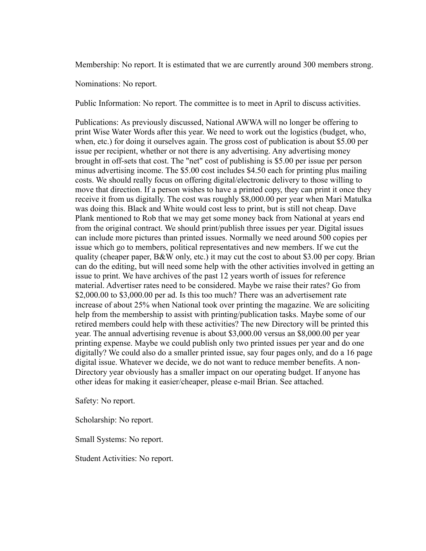Membership: No report. It is estimated that we are currently around 300 members strong.

Nominations: No report.

Public Information: No report. The committee is to meet in April to discuss activities.

Publications: As previously discussed, National AWWA will no longer be offering to print Wise Water Words after this year. We need to work out the logistics (budget, who, when, etc.) for doing it ourselves again. The gross cost of publication is about \$5.00 per issue per recipient, whether or not there is any advertising. Any advertising money brought in off-sets that cost. The "net" cost of publishing is \$5.00 per issue per person minus advertising income. The \$5.00 cost includes \$4.50 each for printing plus mailing costs. We should really focus on offering digital/electronic delivery to those willing to move that direction. If a person wishes to have a printed copy, they can print it once they receive it from us digitally. The cost was roughly \$8,000.00 per year when Mari Matulka was doing this. Black and White would cost less to print, but is still not cheap. Dave Plank mentioned to Rob that we may get some money back from National at years end from the original contract. We should print/publish three issues per year. Digital issues can include more pictures than printed issues. Normally we need around 500 copies per issue which go to members, political representatives and new members. If we cut the quality (cheaper paper, B&W only, etc.) it may cut the cost to about \$3.00 per copy. Brian can do the editing, but will need some help with the other activities involved in getting an issue to print. We have archives of the past 12 years worth of issues for reference material. Advertiser rates need to be considered. Maybe we raise their rates? Go from \$2,000.00 to \$3,000.00 per ad. Is this too much? There was an advertisement rate increase of about 25% when National took over printing the magazine. We are soliciting help from the membership to assist with printing/publication tasks. Maybe some of our retired members could help with these activities? The new Directory will be printed this year. The annual advertising revenue is about \$3,000.00 versus an \$8,000.00 per year printing expense. Maybe we could publish only two printed issues per year and do one digitally? We could also do a smaller printed issue, say four pages only, and do a 16 page digital issue. Whatever we decide, we do not want to reduce member benefits. A non-Directory year obviously has a smaller impact on our operating budget. If anyone has other ideas for making it easier/cheaper, please e-mail Brian. See attached.

Safety: No report.

Scholarship: No report.

Small Systems: No report.

Student Activities: No report.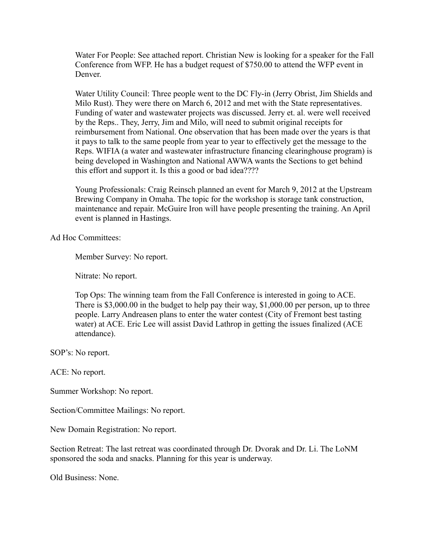Water For People: See attached report. Christian New is looking for a speaker for the Fall Conference from WFP. He has a budget request of \$750.00 to attend the WFP event in Denver.

Water Utility Council: Three people went to the DC Fly-in (Jerry Obrist, Jim Shields and Milo Rust). They were there on March 6, 2012 and met with the State representatives. Funding of water and wastewater projects was discussed. Jerry et. al. were well received by the Reps.. They, Jerry, Jim and Milo, will need to submit original receipts for reimbursement from National. One observation that has been made over the years is that it pays to talk to the same people from year to year to effectively get the message to the Reps. WIFIA (a water and wastewater infrastructure financing clearinghouse program) is being developed in Washington and National AWWA wants the Sections to get behind this effort and support it. Is this a good or bad idea????

Young Professionals: Craig Reinsch planned an event for March 9, 2012 at the Upstream Brewing Company in Omaha. The topic for the workshop is storage tank construction, maintenance and repair. McGuire Iron will have people presenting the training. An April event is planned in Hastings.

Ad Hoc Committees:

Member Survey: No report.

Nitrate: No report.

Top Ops: The winning team from the Fall Conference is interested in going to ACE. There is \$3,000.00 in the budget to help pay their way, \$1,000.00 per person, up to three people. Larry Andreasen plans to enter the water contest (City of Fremont best tasting water) at ACE. Eric Lee will assist David Lathrop in getting the issues finalized (ACE attendance).

SOP's: No report.

ACE: No report.

Summer Workshop: No report.

Section/Committee Mailings: No report.

New Domain Registration: No report.

Section Retreat: The last retreat was coordinated through Dr. Dvorak and Dr. Li. The LoNM sponsored the soda and snacks. Planning for this year is underway.

Old Business: None.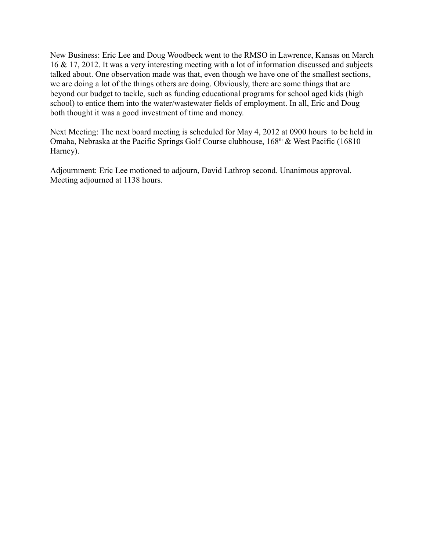New Business: Eric Lee and Doug Woodbeck went to the RMSO in Lawrence, Kansas on March 16 & 17, 2012. It was a very interesting meeting with a lot of information discussed and subjects talked about. One observation made was that, even though we have one of the smallest sections, we are doing a lot of the things others are doing. Obviously, there are some things that are beyond our budget to tackle, such as funding educational programs for school aged kids (high school) to entice them into the water/wastewater fields of employment. In all, Eric and Doug both thought it was a good investment of time and money.

Next Meeting: The next board meeting is scheduled for May 4, 2012 at 0900 hours to be held in Omaha, Nebraska at the Pacific Springs Golf Course clubhouse, 168<sup>th</sup> & West Pacific (16810) Harney).

Adjournment: Eric Lee motioned to adjourn, David Lathrop second. Unanimous approval. Meeting adjourned at 1138 hours.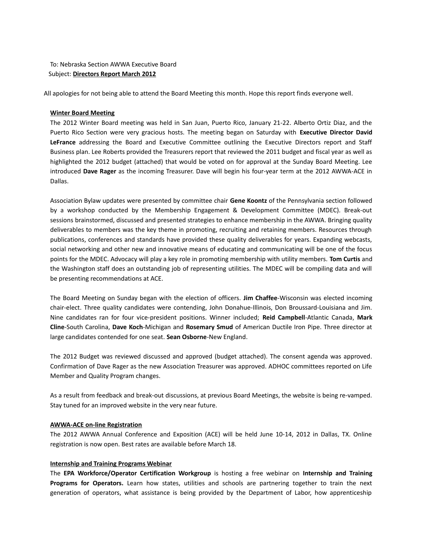## To: Nebraska Section AWWA Executive Board Subject: **Directors Report March 2012**

All apologies for not being able to attend the Board Meeting this month. Hope this report finds everyone well.

#### **Winter Board Meeting**

The 2012 Winter Board meeting was held in San Juan, Puerto Rico, January 21-22. Alberto Ortiz Diaz, and the Puerto Rico Section were very gracious hosts. The meeting began on Saturday with **Executive Director David LeFrance** addressing the Board and Executive Committee outlining the Executive Directors report and Staff Business plan. Lee Roberts provided the Treasurers report that reviewed the 2011 budget and fiscal year as well as highlighted the 2012 budget (attached) that would be voted on for approval at the Sunday Board Meeting. Lee introduced **Dave Rager** as the incoming Treasurer. Dave will begin his four-year term at the 2012 AWWA-ACE in Dallas.

Association Bylaw updates were presented by committee chair **Gene Koontz** of the Pennsylvania section followed by a workshop conducted by the Membership Engagement & Development Committee (MDEC). Break-out sessions brainstormed, discussed and presented strategies to enhance membership in the AWWA. Bringing quality deliverables to members was the key theme in promoting, recruiting and retaining members. Resources through publications, conferences and standards have provided these quality deliverables for years. Expanding webcasts, social networking and other new and innovative means of educating and communicating will be one of the focus points for the MDEC. Advocacy will play a key role in promoting membership with utility members. **Tom Curtis** and the Washington staff does an outstanding job of representing utilities. The MDEC will be compiling data and will be presenting recommendations at ACE.

The Board Meeting on Sunday began with the election of officers. **Jim Chaffee**-Wisconsin was elected incoming chair-elect. Three quality candidates were contending, John Donahue-Illinois, Don Broussard-Louisiana and Jim. Nine candidates ran for four vice-president positions. Winner included; **Reid Campbell**-Atlantic Canada, **Mark Cline**-South Carolina, **Dave Koch**-Michigan and **Rosemary Smud** of American Ductile Iron Pipe. Three director at large candidates contended for one seat. **Sean Osborne**-New England.

The 2012 Budget was reviewed discussed and approved (budget attached). The consent agenda was approved. Confirmation of Dave Rager as the new Association Treasurer was approved. ADHOC committees reported on Life Member and Quality Program changes.

As a result from feedback and break-out discussions, at previous Board Meetings, the website is being re-vamped. Stay tuned for an improved website in the very near future.

#### **AWWA-ACE on-line Registration**

The 2012 AWWA Annual Conference and Exposition (ACE) will be held June 10-14, 2012 in Dallas, TX. Online registration is now open. Best rates are available before March 18.

#### **Internship and Training Programs Webinar**

The **EPA Workforce/Operator Certification Workgroup** is hosting a free webinar on **Internship and Training Programs for Operators.** Learn how states, utilities and schools are partnering together to train the next generation of operators, what assistance is being provided by the Department of Labor, how apprenticeship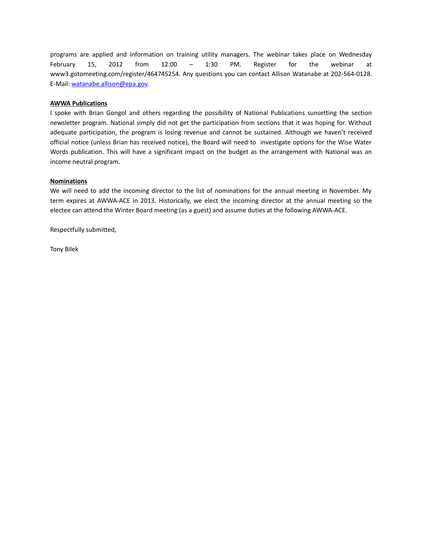programs are applied and information on training utility managers. The webinar takes place on Wednesday February 15, 2012 from 12:00 – 1:30 PM. Register for the webinar at www3.gotomeeting.com/register/464745254. Any questions you can contact Allison Watanabe at 202-564-0128. E-Mail: [watanabe.allison@epa.gov.](mailto:watanabe.allison@epa.gov)

#### **AWWA Publications**

I spoke with Brian Gongol and others regarding the possibility of National Publications sunsetting the section newsletter program. National simply did not get the participation from sections that it was hoping for. Without adequate participation, the program is losing revenue and cannot be sustained. Although we haven't received official notice (unless Brian has received notice), the Board will need to investigate options for the Wise Water Words publication. This will have a significant impact on the budget as the arrangement with National was an income neutral program.

#### **Nominations**

We will need to add the incoming director to the list of nominations for the annual meeting in November. My term expires at AWWA-ACE in 2013. Historically, we elect the incoming director at the annual meeting so the electee can attend the Winter Board meeting (as a guest) and assume duties at the following AWWA-ACE.

Respectfully submitted,

Tony Bilek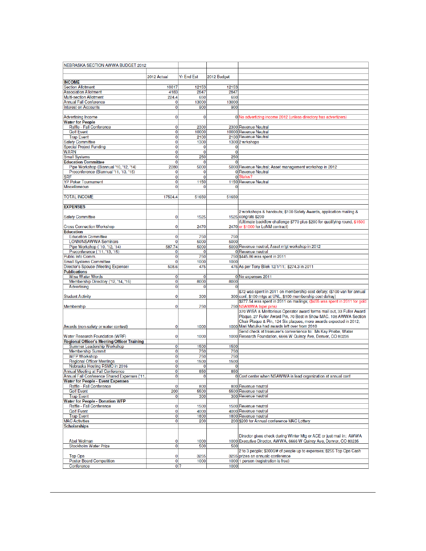| NEBRASKA SECTION AWWA BUDGET 2012                                         |             |                   |             |                                                                            |
|---------------------------------------------------------------------------|-------------|-------------------|-------------|----------------------------------------------------------------------------|
|                                                                           |             |                   |             |                                                                            |
|                                                                           | 2012 Actual | <b>Yr End Est</b> | 2012 Budget |                                                                            |
| <b>INCOME</b>                                                             |             |                   |             |                                                                            |
| <b>Section Allotment</b>                                                  | 10817       | 12153             | 12153       |                                                                            |
| <b>Association Allotment</b>                                              | 4183        | 2847              | 2847        |                                                                            |
| <b>Multi-section Allotment</b>                                            | 224.4       | 650               | 650         |                                                                            |
| <b>Annual Fall Conference</b>                                             | 0           | 13000             | 13000       |                                                                            |
| <b>Interest on Accounts</b>                                               | 0           | 900               | 900         |                                                                            |
| <b>Advertising Income</b>                                                 | 0           | 0                 |             | 0 No advertizing income 2012 (unless directory has advertizers)            |
| <b>Water for People</b>                                                   |             |                   |             |                                                                            |
| Raffle - Fall Conference                                                  | 0           | 2300              |             | 2300 Revenue Neutral                                                       |
| <b>Golf Event</b>                                                         | 0           | 10000             |             | 10000 Revenue Neutral                                                      |
| <b>Trap Event</b>                                                         | 0           | 2100              |             | 2100 Revenue Neutral                                                       |
| <b>Safety Committee</b>                                                   | 0           | 1300              |             | 1300 2 wrkshops                                                            |
| <b>Special Project Funding</b>                                            | 0           | 0                 | 0           |                                                                            |
| <b>WARN</b>                                                               | 0           | 0                 | 0           |                                                                            |
| <b>Small Systems</b>                                                      | 0           | 250               | 250         |                                                                            |
| <b>Education Committee</b>                                                | 0           | 0                 | 0           |                                                                            |
| Pipe Workshop (Biannual '10, '12, '14)                                    | 2280        | 5000              |             | 5000 Revenue Neutral; Asset management workshop in 2012                    |
| Preconference (Biannual '11, '13, '15)                                    | 0           | 0                 |             | 0 Revenue Neutral                                                          |
| <b>SRF</b>                                                                | 0           | 0                 |             | o Status?                                                                  |
| <b>YP Poker Tournament</b><br>Miscellaneous                               | 0<br>0      | 1150<br>n         |             | 1150 Revenue Neutral                                                       |
|                                                                           |             |                   | 0           |                                                                            |
| <b>TOTAL INCOME</b>                                                       | 17504.4     | 51650             | 51650       |                                                                            |
|                                                                           |             |                   |             |                                                                            |
| <b>EXPENSES</b>                                                           |             |                   |             |                                                                            |
|                                                                           |             |                   |             | 2 workshops & handouts; \$100 Safety Awards, application mailing &         |
| <b>Safety Committee</b>                                                   | 0           | 1525              |             | 1525 congrats \$200                                                        |
|                                                                           |             |                   |             | (Ultimate backflow challenge \$770 plus \$200 for qualifying round, \$1500 |
| <b>Cross Connection Workshop</b>                                          | 0           | 2470              |             | 2470 or \$1000 for LoNM contract)                                          |
| Education                                                                 |             |                   |             |                                                                            |
| <b>Education Committee</b>                                                | 0           | 750               | 750         |                                                                            |
| <b>LONM/NSAWWA Seminars</b>                                               | 0           | 5000              | 5000        |                                                                            |
| Pipe Workshop ('10, '12, '14)                                             | 587.74      | 5000              |             | 5000 Revenue neutral; Asset m'gt workshop in 2012                          |
| Preconference ( '11, '13, '15)                                            | 0           | $\Omega$          |             | 0 Revenue neutral                                                          |
| Public Info Comm.                                                         | 0           | 750               |             | 750 \$445.86 was spent in 2011                                             |
| <b>Small Systems Committee</b>                                            | 0           | 1000              | 1000        |                                                                            |
| Director's Spouse (Meeting Expense)<br><b>Publications</b>                | 508.6       | 475               |             | 475 As per Tony Bilek 12/1/11; \$274.3 in 2011                             |
| <b>Wise Water Words</b>                                                   | 0           | 0                 |             | 0 No expenses 2011                                                         |
| Membership Directory ('12, '14, '16)                                      | 0           | 8000              | 8000        |                                                                            |
| Advertising                                                               | 0           | 0                 |             |                                                                            |
|                                                                           |             |                   |             | \$72 was spent in 2011 on membership cost defary; (\$100 van for annual    |
| <b>Student Activity</b>                                                   | 0           | 300               |             | 300 conf, \$100 mtgs at UNL, \$100 membership cost defray)                 |
|                                                                           |             |                   |             | \$277.54 was spent in 2011 on mailings; (\$455 was spent in 2011 for gold  |
| Membership                                                                | 0           | 750               |             | 750 NSAWWA lapel pins)                                                     |
|                                                                           |             |                   |             | 370 WISA & Meritorious Operator award forms mail out, 33 Fuller Award      |
|                                                                           |             |                   |             | Plaque, 27 Fuller Award Pin, 70 Best in Show MAC, 108 AWWA Section         |
|                                                                           |             |                   |             | Chair Plaque & Pin, 124 Six plaques, more awards expected in 2012;         |
| Awards (non-safety or water contest)                                      | 0           | 1000              |             | 1000 Mari Matulka had awards left over from 2010                           |
|                                                                           |             |                   |             | Send check at treasurer's convenience to: Ms Kay Priebe, Water             |
| Water Research Foundation (WRF)                                           | $\mathbf 0$ | 1000              |             | 1000 Research Foundation, 6666 W Quincy Ave, Denver, CO 80235              |
| Regional Officer's Meeting/Officer Training<br>Summer Leadership Workshop | 0           | 1500              | 1500        |                                                                            |
| <b>Membership Summit</b>                                                  | 0           | 750               | 750         |                                                                            |
| <b>WFP Workshop</b>                                                       | 0           | 750               | 750         |                                                                            |
| <b>Regional Officer Meetings</b>                                          | 0           | 1500              | 1500        |                                                                            |
| Nebraska Hosting RSMO in 2016                                             | 0           | 0                 | 0           |                                                                            |
| <b>Annual Meeting at Fall Conference</b>                                  | 0           | 850               | 850         |                                                                            |
| Annual Fall Conference Shared Expenses ('11,                              | $\mathbf 0$ | 0                 |             | 0 Cost center when NSAWWA is lead organization at annual conf              |
| <b>Water for People - Event Expenses</b>                                  |             |                   |             |                                                                            |
| Raffle - Fall Conference                                                  | 0           | 800               |             | 800 Revenue neutral                                                        |
| <b>Golf Event</b>                                                         | 200         | 5500              |             | 5500 Revenue neutral                                                       |
| <b>Trap Event</b>                                                         | 0           | 300               |             | 300 Revenue neutral                                                        |
| <b>Water for People - Donation WFP</b>                                    |             |                   |             |                                                                            |
| Raffle - Fall Conference                                                  | $\mathbf 0$ | 1500              |             | 1500 Revenue neutral                                                       |
| <b>Golf Event</b>                                                         | 0           | 4000              |             | 4000 Revenue neutral                                                       |
| <b>Trap Event</b>                                                         | 0           | 1800              |             | 1800 Revenue neutral                                                       |
| <b>MAC Activities</b><br><b>Scholarships</b>                              | $\mathbf 0$ | 200               |             | 200 \$200 for Annual conference MAC Lottery                                |
|                                                                           |             |                   |             |                                                                            |
|                                                                           |             |                   |             | Director gives check during Winter Mtg or ACE or just mail in; AWWA        |
| <b>Abel Wolman</b>                                                        | 0           | 1000              |             | 1000 Executive Director, AWWA, 6666 W Quincy Ave, Denver, CO 80235         |
| <b>Stockholm Water Prize</b>                                              | $\mathbf 0$ | 500               | 500         |                                                                            |
|                                                                           |             |                   |             | 2 to 3 people; \$3000/# of people up to expenses; \$255 Top Ops Cash       |
| <b>Top Ops</b>                                                            | 0           | 3255              |             | 3255 prizes an annualc conference                                          |
| <b>Poster Board Competition</b>                                           | 0           | 1000              |             | 1000 1 person (registration is free)                                       |
| Conference                                                                | $0$ ?       |                   | 1000        |                                                                            |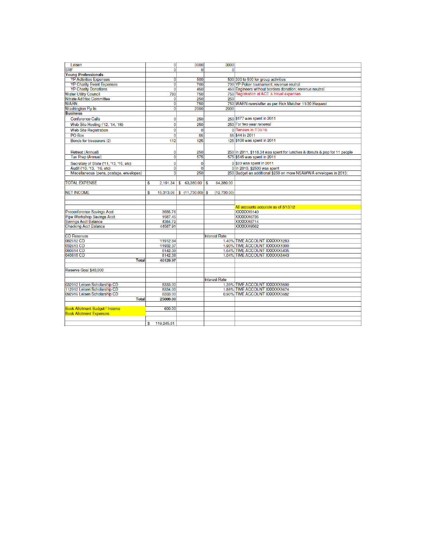| Leisen                                                           |                  | 3000<br>$\overline{0}$          | 3000                  |                                                                          |
|------------------------------------------------------------------|------------------|---------------------------------|-----------------------|--------------------------------------------------------------------------|
| <b>SRF</b>                                                       |                  | $\overline{0}$<br>$\Omega$      | $\overline{0}$        |                                                                          |
| <b>Young Professionals</b>                                       |                  |                                 |                       |                                                                          |
| <b>YP Activities Expenses</b>                                    |                  | 500<br> 0                       |                       | 500 300 to 500 for group activities                                      |
| <b>YP Charity Event Expenses</b>                                 |                  | $\overline{0}$<br>700           |                       | 700 YP Poker tournament; revenue reutral                                 |
| <b>YP Charity Donations</b>                                      |                  | $\overline{0}$<br>450           |                       | 450 Engineers without borders donation; revenue neutral                  |
| <b>Water Utility Council</b>                                     | 780              | 750                             |                       | 750 Registration at ACE & travel expenses                                |
| Nitrate Ad Hoc Committee                                         |                  | 250<br>$\overline{0}$           | 250                   |                                                                          |
| <b>WARN</b>                                                      |                  | $\mathbf{0}$<br>750             |                       | 750 WARN newsletter as per Rick Melcher 11/30 Request                    |
| <b>Washington Fly-In</b>                                         |                  | $\overline{0}$<br>2000          | 2000                  |                                                                          |
| <b>Business</b>                                                  |                  |                                 |                       |                                                                          |
| <b>Conference Calls</b>                                          |                  | $\bf{0}$<br>250                 |                       | 250 \$177 was spent in 2011                                              |
| Web Site Hosting ('12, '14, '16)                                 |                  | $\mathbf 0$<br>250              |                       | 250 For two year renewal                                                 |
|                                                                  |                  | $\overline{0}$<br>$\mathbf 0$   |                       | 0 Renews in 7/30/16                                                      |
| <b>Web Site Registration</b>                                     |                  |                                 |                       |                                                                          |
| PO Box                                                           |                  | $\overline{0}$<br>55            |                       | 55 \$44 in 2011                                                          |
| Bonds for treasurers (2)                                         | 112              | 125                             |                       | 125 \$100 was spent in 2011                                              |
|                                                                  |                  |                                 |                       |                                                                          |
| Retreat (Annual)                                                 |                  | $\mathbf 0$<br>250              |                       | 250 In 2011, \$118.34 was spent for lunches & donuts & pop for 11 people |
| <b>Tax Prep (Annual)</b>                                         |                  | $\mathbf{0}$<br>575             |                       | 575 \$545 was spent in 2011                                              |
| Secretary of State ('11, '13, '15, etc)                          |                  | $\mathbf 0$<br>$\mathbf 0$      |                       | o \$23 was spent in 2011                                                 |
| Audit ('10, '13, '16, etc)                                       |                  | $\overline{0}$<br>$\bf{0}$      |                       | 0 In 2010, \$2500 was spent                                              |
| Miscellaneous (pens, postage, envelopes)                         |                  | 3<br>250                        |                       | 250 Budget an additional \$250 on more NSAWWA envelopes in 2013;         |
|                                                                  |                  |                                 |                       |                                                                          |
| <b>TOTAL EXPENSE</b>                                             | \$               | 2,191.34 \$ 63,380.00           | 64,380.00<br><b>S</b> |                                                                          |
| <b>NET INCOME</b>                                                | \$               | $15,313.06$ \$ $(11,730.00)$ \$ | (12,730,00)           |                                                                          |
|                                                                  |                  |                                 |                       |                                                                          |
|                                                                  |                  |                                 |                       |                                                                          |
|                                                                  |                  |                                 |                       | All accounts accurate as of 3/13/12                                      |
| Preconference Savings Acct                                       | 3555.76          |                                 |                       | XXXXXX9140                                                               |
| Pipe Workshop Savings Acct                                       | 1587.45          |                                 |                       | XXXXXX6735                                                               |
| <b>Savings Acct Balance</b>                                      | 4384.72          |                                 |                       | XXXXXX8714                                                               |
| <b>Checking Acct Balance</b>                                     | 44587.91         |                                 |                       | XXXXXX9562                                                               |
|                                                                  |                  |                                 |                       |                                                                          |
| <b>CD Reserves</b>                                               |                  |                                 | <b>Interest Rate</b>  |                                                                          |
| 082612 CD                                                        | 11912.84         |                                 |                       | 1.40% TIME ACCOUNT XXXXXX1283                                            |
| 032613 CD                                                        | 11932.37         |                                 |                       | 1.90% TIME ACCOUNT XXXXXX1300                                            |
| 080814 CD                                                        | 8142.38          |                                 |                       | 1.64% TIME ACCOUNT XXXXXX5435                                            |
| 040815 CD                                                        | 8142.38          |                                 |                       | 1.04% TIME ACCOUNT XXXXXX5443                                            |
| <b>Total</b>                                                     | 40129.97         |                                 |                       |                                                                          |
|                                                                  |                  |                                 |                       |                                                                          |
| Reserve Goal \$40,000                                            |                  |                                 |                       |                                                                          |
|                                                                  |                  |                                 |                       |                                                                          |
|                                                                  |                  |                                 | <b>Interest Rate</b>  |                                                                          |
| 032912 Leisen Scholarship CD                                     | 8333.00          |                                 |                       | 1.39% TIME ACCOUNT XXXXXX5690                                            |
| 112912 Leisen Scholarship CD                                     | 8334.00          |                                 |                       | 1.88% TIME ACCOUNT XXXXXX5674                                            |
| 092916 Leisen Scholarship CD                                     | 8333,00          |                                 |                       | 0.90% TIME ACCOUNT XXXXXX5682                                            |
| <b>Total</b>                                                     | 25000.00         |                                 |                       |                                                                          |
|                                                                  |                  |                                 |                       |                                                                          |
|                                                                  |                  |                                 |                       |                                                                          |
|                                                                  | 600.00           |                                 |                       |                                                                          |
|                                                                  |                  |                                 |                       |                                                                          |
| Book Allotment Budget / Income<br><b>Book Allotment Expenses</b> |                  |                                 |                       |                                                                          |
|                                                                  | 119,245.81<br>\$ |                                 |                       |                                                                          |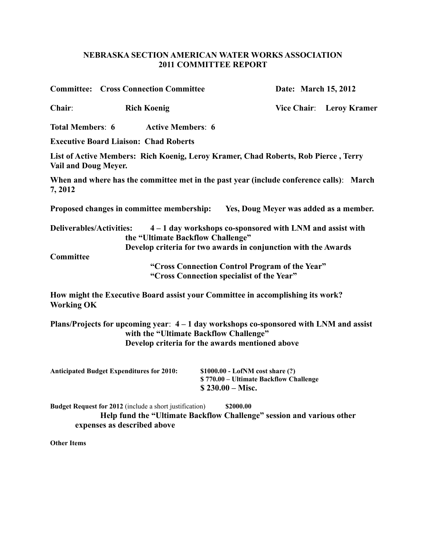## **NEBRASKA SECTION AMERICAN WATER WORKS ASSOCIATION 2011 COMMITTEE REPORT**

|                                 | <b>Committee: Cross Connection Committee</b>                                                                                                                    |                                                                                                                               | Date: March 15, 2012 |                          |  |  |
|---------------------------------|-----------------------------------------------------------------------------------------------------------------------------------------------------------------|-------------------------------------------------------------------------------------------------------------------------------|----------------------|--------------------------|--|--|
| Chair:                          | <b>Rich Koenig</b>                                                                                                                                              |                                                                                                                               |                      | Vice Chair: Leroy Kramer |  |  |
| <b>Total Members: 6</b>         | <b>Active Members: 6</b>                                                                                                                                        |                                                                                                                               |                      |                          |  |  |
|                                 | <b>Executive Board Liaison: Chad Roberts</b>                                                                                                                    |                                                                                                                               |                      |                          |  |  |
| <b>Vail and Doug Meyer.</b>     | List of Active Members: Rich Koenig, Leroy Kramer, Chad Roberts, Rob Pierce, Terry                                                                              |                                                                                                                               |                      |                          |  |  |
| 7,2012                          | When and where has the committee met in the past year (include conference calls): March                                                                         |                                                                                                                               |                      |                          |  |  |
|                                 | Proposed changes in committee membership: Yes, Doug Meyer was added as a member.                                                                                |                                                                                                                               |                      |                          |  |  |
| <b>Deliverables/Activities:</b> | the "Ultimate Backflow Challenge"                                                                                                                               | $4 - 1$ day workshops co-sponsored with LNM and assist with<br>Develop criteria for two awards in conjunction with the Awards |                      |                          |  |  |
| Committee                       |                                                                                                                                                                 |                                                                                                                               |                      |                          |  |  |
|                                 |                                                                                                                                                                 | "Cross Connection Control Program of the Year"<br>"Cross Connection specialist of the Year"                                   |                      |                          |  |  |
| <b>Working OK</b>               | How might the Executive Board assist your Committee in accomplishing its work?                                                                                  |                                                                                                                               |                      |                          |  |  |
|                                 | Plans/Projects for upcoming year: $4-1$ day workshops co-sponsored with LNM and assist                                                                          | with the "Ultimate Backflow Challenge"                                                                                        |                      |                          |  |  |
|                                 |                                                                                                                                                                 | Develop criteria for the awards mentioned above                                                                               |                      |                          |  |  |
|                                 | <b>Anticipated Budget Expenditures for 2010:</b>                                                                                                                | \$1000.00 - LofNM cost share (?)<br>\$770.00 - Ultimate Backflow Challenge<br>$$230.00 - Misc.$                               |                      |                          |  |  |
|                                 | Budget Request for 2012 (include a short justification)<br>Help fund the "Ultimate Backflow Challenge" session and various other<br>expenses as described above | \$2000.00                                                                                                                     |                      |                          |  |  |

**Other Items**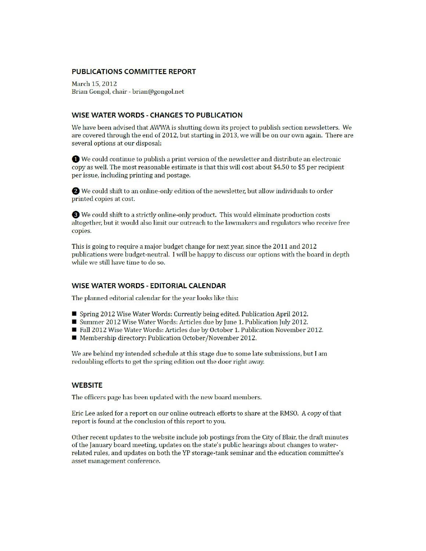#### **PUBLICATIONS COMMITTEE REPORT**

March 15, 2012 Brian Gongol, chair - brian@gongol.net

## **WISE WATER WORDS - CHANGES TO PUBLICATION**

We have been advised that AWWA is shutting down its project to publish section newsletters. We are covered through the end of 2012, but starting in 2013, we will be on our own again. There are several options at our disposal:

**O** We could continue to publish a print version of the newsletter and distribute an electronic copy as well. The most reasonable estimate is that this will cost about \$4.50 to \$5 per recipient per issue, including printing and postage.

We could shift to an online-only edition of the newsletter, but allow individuals to order printed copies at cost.

<sup>8</sup> We could shift to a strictly online-only product. This would eliminate production costs altogether, but it would also limit our outreach to the lawmakers and regulators who receive free copies.

This is going to require a major budget change for next year, since the 2011 and 2012 publications were budget-neutral. I will be happy to discuss our options with the board in depth while we still have time to do so.

### **WISE WATER WORDS - EDITORIAL CALENDAR**

The planned editorial calendar for the year looks like this:

- Spring 2012 Wise Water Words: Currently being edited. Publication April 2012.
- Summer 2012 Wise Water Words: Articles due by June 1. Publication July 2012.
- Fall 2012 Wise Water Words: Articles due by October 1. Publication November 2012.
- Membership directory: Publication October/November 2012.

We are behind my intended schedule at this stage due to some late submissions, but I am redoubling efforts to get the spring edition out the door right away.

### **WEBSITE**

The officers page has been updated with the new board members.

Eric Lee asked for a report on our online outreach efforts to share at the RMSO. A copy of that report is found at the conclusion of this report to you.

Other recent updates to the website include job postings from the City of Blair, the draft minutes of the January board meeting, updates on the state's public hearings about changes to waterrelated rules, and updates on both the YP storage-tank seminar and the education committee's asset management conference.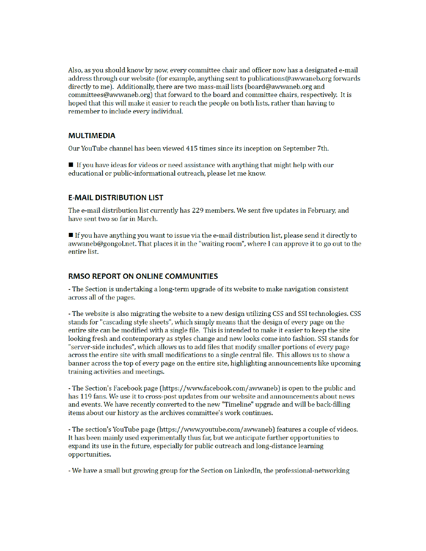Also, as you should know by now, every committee chair and officer now has a designated e-mail address through our website (for example, anything sent to publications@awwaneb.org forwards directly to me). Additionally, there are two mass-mail lists (board@awwaneb.org and committees@awwaneb.org) that forward to the board and committee chairs, respectively. It is hoped that this will make it easier to reach the people on both lists, rather than having to remember to include every individual.

#### **MULTIMEDIA**

Our YouTube channel has been viewed 415 times since its inception on September 7th.

If you have ideas for videos or need assistance with anything that might help with our educational or public-informational outreach, please let me know.

### **E-MAIL DISTRIBUTION LIST**

The e-mail distribution list currently has 229 members. We sent five updates in February, and have sent two so far in March.

 $\blacksquare$  If you have anything you want to issue via the e-mail distribution list, please send it directly to awwaneb@gongol.net. That places it in the "waiting room", where I can approve it to go out to the entire list.

#### **RMSO REPORT ON ONLINE COMMUNITIES**

- The Section is undertaking a long-term upgrade of its website to make navigation consistent across all of the pages.

- The website is also migrating the website to a new design utilizing CSS and SSI technologies. CSS stands for "cascading style sheets", which simply means that the design of every page on the entire site can be modified with a single file. This is intended to make it easier to keep the site looking fresh and contemporary as styles change and new looks come into fashion. SSI stands for "server-side includes", which allows us to add files that modify smaller portions of every page across the entire site with small modifications to a single central file. This allows us to show a banner across the top of every page on the entire site, highlighting announcements like upcoming training activities and meetings.

- The Section's Facebook page (https://www.facebook.com/awwaneb) is open to the public and has 119 fans. We use it to cross-post updates from our website and announcements about news and events. We have recently converted to the new "Timeline" upgrade and will be back-filling items about our history as the archives committee's work continues.

- The section's YouTube page (https://www.youtube.com/awwaneb) features a couple of videos. It has been mainly used experimentally thus far, but we anticipate further opportunities to expand its use in the future, especially for public outreach and long-distance learning opportunities.

- We have a small but growing group for the Section on LinkedIn, the professional-networking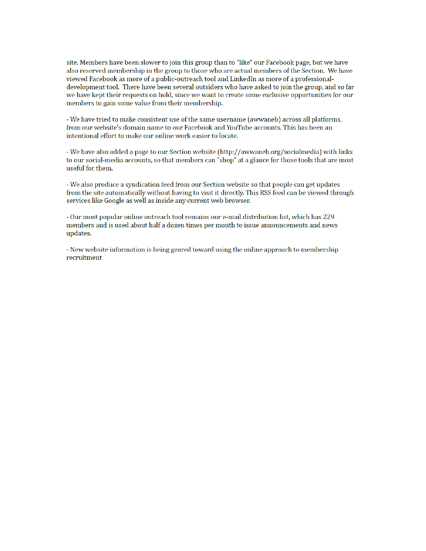site. Members have been slower to join this group than to "like" our Facebook page, but we have also reserved membership in the group to those who are actual members of the Section. We have viewed Facebook as more of a public-outreach tool and LinkedIn as more of a professionaldevelopment tool. There have been several outsiders who have asked to join the group, and so far we have kept their requests on hold, since we want to create some exclusive opportunities for our members to gain some value from their membership.

- We have tried to make consistent use of the same username (awwaneb) across all platforms, from our website's domain name to our Facebook and YouTube accounts. This has been an intentional effort to make our online work easier to locate.

- We have also added a page to our Section website (http://awwaneb.org/socialmedia) with links to our social-media accounts, so that members can "shop" at a glance for those tools that are most useful for them.

- We also produce a syndication feed from our Section website so that people can get updates from the site automatically without having to visit it directly. This RSS feed can be viewed through services like Google as well as inside any current web browser.

- Our most popular online outreach tool remains our e-mail distribution list, which has 229 members and is used about half a dozen times per month to issue announcements and news updates.

- New website information is being geared toward using the online approach to membership recruitment